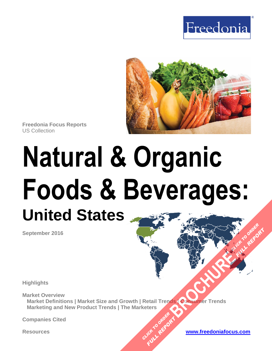



**Freedonia Focus Reports** US Collection

# **Natural & Organic Foods & Beverages: United States**

**September 2016**

**Highlights**

**Market Overview Market Definitions | Market Size and Growth | Retail Trends | Consumer Trends Marketing and New Product Trends | The Marketers BROWNER TREADS** 

CLICK TO ORDER **FULL REPORT** 

**Companies Cited**

**Resources [www.freedoniafocus.com](http://www.freedoniagroup.com/FocusReports.aspx?ReferrerId=FM-FocusBro)**

**FULL REPORT**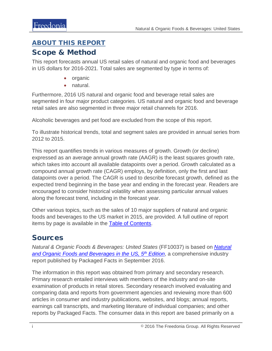## <span id="page-1-0"></span>ABOUT THIS REPORT

### Scope & Method

This report forecasts annual US retail sales of natural and organic food and beverages in US dollars for 2016-2021. Total sales are segmented by type in terms of:

- organic
- natural.

Furthermore, 2016 US natural and organic food and beverage retail sales are segmented in four major product categories. US natural and organic food and beverage retail sales are also segmented in three major retail channels for 2016.

Alcoholic beverages and pet food are excluded from the scope of this report.

To illustrate historical trends, total and segment sales are provided in annual series from 2012 to 2015.

This report quantifies trends in various measures of growth. Growth (or decline) expressed as an average annual growth rate (AAGR) is the least squares growth rate, which takes into account all available datapoints over a period. Growth calculated as a compound annual growth rate (CAGR) employs, by definition, only the first and last datapoints over a period. The CAGR is used to describe forecast growth, defined as the expected trend beginning in the base year and ending in the forecast year. Readers are encouraged to consider historical volatility when assessing particular annual values along the forecast trend, including in the forecast year.

Other various topics, such as the sales of 10 major suppliers of natural and organic foods and beverages to the US market in 2015, are provided. A full outline of report items by page is available in the [Table of Contents.](#page-3-0)

## **Sources**

*Natural & Organic Foods & Beverages: United States* (FF10037) is based on *[Natural](http://www.packagedfacts.com/Natural-Organic-Foods-10074923/)  [and Organic Foods and Beverages in the US, 5th](http://www.packagedfacts.com/Natural-Organic-Foods-10074923/) Edition*, a comprehensive industry report published by Packaged Facts in September 2016.

The information in this report was obtained from primary and secondary research. Primary research entailed interviews with members of the industry and on-site examination of products in retail stores. Secondary research involved evaluating and comparing data and reports from government agencies and reviewing more than 600 articles in consumer and industry publications, websites, and blogs; annual reports, earnings call transcripts, and marketing literature of individual companies; and other reports by Packaged Facts. The consumer data in this report are based primarily on a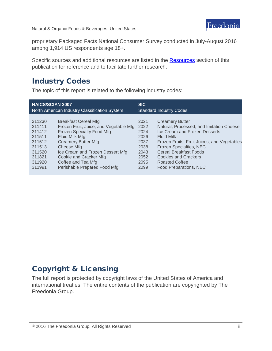proprietary Packaged Facts National Consumer Survey conducted in July-August 2016 among 1,914 US respondents age 18+.

Specific sources and additional resources are listed in the **Resources** section of this publication for reference and to facilitate further research.

## Industry Codes

The topic of this report is related to the following industry codes:

| <b>NAICS/SCIAN 2007</b>                       |                                        | <b>SIC</b>                     |                                             |
|-----------------------------------------------|----------------------------------------|--------------------------------|---------------------------------------------|
| North American Industry Classification System |                                        | <b>Standard Industry Codes</b> |                                             |
| 311230                                        | <b>Breakfast Cereal Mfg</b>            | 2021                           | <b>Creamery Butter</b>                      |
| 311411                                        | Frozen Fruit, Juice, and Vegetable Mfg | 2022                           | Natural, Processed, and Imitation Cheese    |
| 311412                                        | Frozen Specialty Food Mfg              | 2024                           | Ice Cream and Frozen Desserts               |
| 311511                                        | Fluid Milk Mfg                         | 2026                           | <b>Fluid Milk</b>                           |
| 311512                                        | <b>Creamery Butter Mfg</b>             | 2037                           | Frozen Fruits, Fruit Juices, and Vegetables |
| 311513                                        | Cheese Mfg                             | 2038                           | Frozen Specialties, NEC                     |
| 311520                                        | Ice Cream and Frozen Dessert Mfg       | 2043                           | <b>Cereal Breakfast Foods</b>               |
| 311821                                        | Cookie and Cracker Mfg                 | 2052                           | <b>Cookies and Crackers</b>                 |
| 311920                                        | Coffee and Tea Mfg                     | 2095                           | Roasted Coffee                              |
| 311991                                        | Perishable Prepared Food Mfg           | 2099                           | Food Preparations, NEC                      |

## Copyright & Licensing

The full report is protected by copyright laws of the United States of America and international treaties. The entire contents of the publication are copyrighted by The Freedonia Group.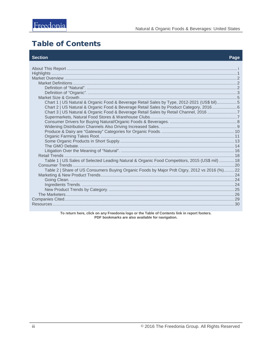## <span id="page-3-0"></span>**Table of Contents**

#### **Section**

| Chart 1   US Natural & Organic Food & Beverage Retail Sales by Type, 2012-2021 (US\$ bil)5<br>Chart 2   US Natural & Organic Food & Beverage Retail Sales by Product Category, 2016 6<br>Chart 3   US Natural & Organic Food & Beverage Retail Sales by Retail Channel, 2016 7<br>Table 1   US Sales of Selected Leading Natural & Organic Food Competitors, 2015 (US\$ mil)  18<br>Table 2   Share of US Consumers Buying Organic Foods by Major Prdt Ctgry, 2012 vs 2016 (%)22 |
|----------------------------------------------------------------------------------------------------------------------------------------------------------------------------------------------------------------------------------------------------------------------------------------------------------------------------------------------------------------------------------------------------------------------------------------------------------------------------------|
|----------------------------------------------------------------------------------------------------------------------------------------------------------------------------------------------------------------------------------------------------------------------------------------------------------------------------------------------------------------------------------------------------------------------------------------------------------------------------------|

To return here, click on any Freedonia logo or the Table of Contents link in report footers.<br>PDF bookmarks are also available for navigation.